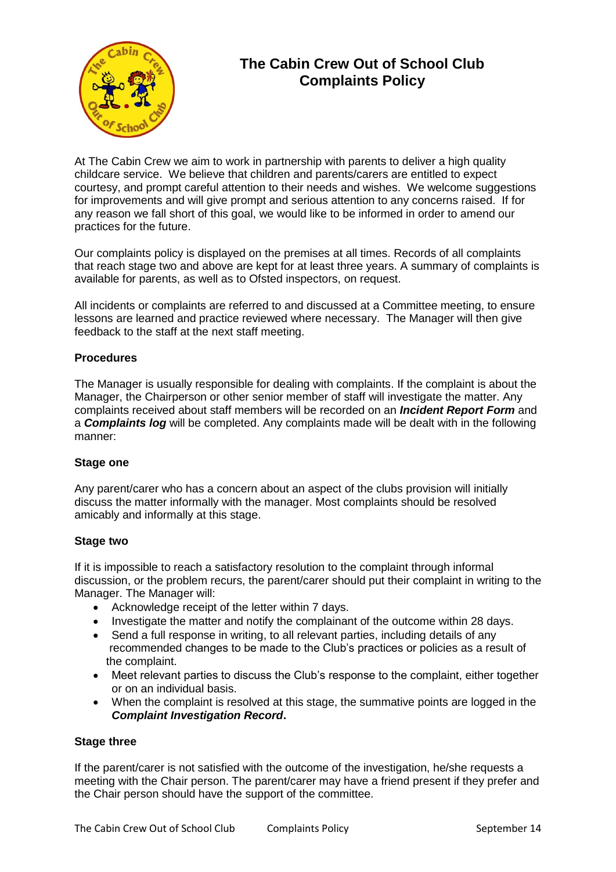

# **The Cabin Crew Out of School Club Complaints Policy**

At The Cabin Crew we aim to work in partnership with parents to deliver a high quality childcare service. We believe that children and parents/carers are entitled to expect courtesy, and prompt careful attention to their needs and wishes. We welcome suggestions for improvements and will give prompt and serious attention to any concerns raised. If for any reason we fall short of this goal, we would like to be informed in order to amend our practices for the future.

Our complaints policy is displayed on the premises at all times. Records of all complaints that reach stage two and above are kept for at least three years. A summary of complaints is available for parents, as well as to Ofsted inspectors, on request.

All incidents or complaints are referred to and discussed at a Committee meeting, to ensure lessons are learned and practice reviewed where necessary. The Manager will then give feedback to the staff at the next staff meeting.

# **Procedures**

The Manager is usually responsible for dealing with complaints. If the complaint is about the Manager, the Chairperson or other senior member of staff will investigate the matter. Any complaints received about staff members will be recorded on an *Incident Report Form* and a *Complaints log* will be completed. Any complaints made will be dealt with in the following manner:

## **Stage one**

Any parent/carer who has a concern about an aspect of the clubs provision will initially discuss the matter informally with the manager. Most complaints should be resolved amicably and informally at this stage.

#### **Stage two**

If it is impossible to reach a satisfactory resolution to the complaint through informal discussion, or the problem recurs, the parent/carer should put their complaint in writing to the Manager. The Manager will:

- Acknowledge receipt of the letter within 7 days.
- Investigate the matter and notify the complainant of the outcome within 28 days.
- Send a full response in writing, to all relevant parties, including details of any recommended changes to be made to the Club's practices or policies as a result of the complaint.
- Meet relevant parties to discuss the Club's response to the complaint, either together or on an individual basis.
- When the complaint is resolved at this stage, the summative points are logged in the *Complaint Investigation Record***.**

#### **Stage three**

If the parent/carer is not satisfied with the outcome of the investigation, he/she requests a meeting with the Chair person. The parent/carer may have a friend present if they prefer and the Chair person should have the support of the committee.